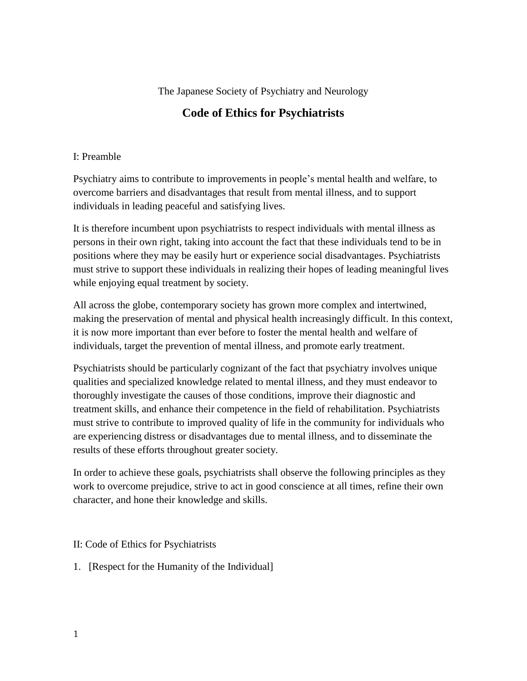## The Japanese Society of Psychiatry and Neurology

## **Code of Ethics for Psychiatrists**

## I: Preamble

Psychiatry aims to contribute to improvements in people's mental health and welfare, to overcome barriers and disadvantages that result from mental illness, and to support individuals in leading peaceful and satisfying lives.

It is therefore incumbent upon psychiatrists to respect individuals with mental illness as persons in their own right, taking into account the fact that these individuals tend to be in positions where they may be easily hurt or experience social disadvantages. Psychiatrists must strive to support these individuals in realizing their hopes of leading meaningful lives while enjoying equal treatment by society.

All across the globe, contemporary society has grown more complex and intertwined, making the preservation of mental and physical health increasingly difficult. In this context, it is now more important than ever before to foster the mental health and welfare of individuals, target the prevention of mental illness, and promote early treatment.

Psychiatrists should be particularly cognizant of the fact that psychiatry involves unique qualities and specialized knowledge related to mental illness, and they must endeavor to thoroughly investigate the causes of those conditions, improve their diagnostic and treatment skills, and enhance their competence in the field of rehabilitation. Psychiatrists must strive to contribute to improved quality of life in the community for individuals who are experiencing distress or disadvantages due to mental illness, and to disseminate the results of these efforts throughout greater society.

In order to achieve these goals, psychiatrists shall observe the following principles as they work to overcome prejudice, strive to act in good conscience at all times, refine their own character, and hone their knowledge and skills.

## II: Code of Ethics for Psychiatrists

1. [Respect for the Humanity of the Individual]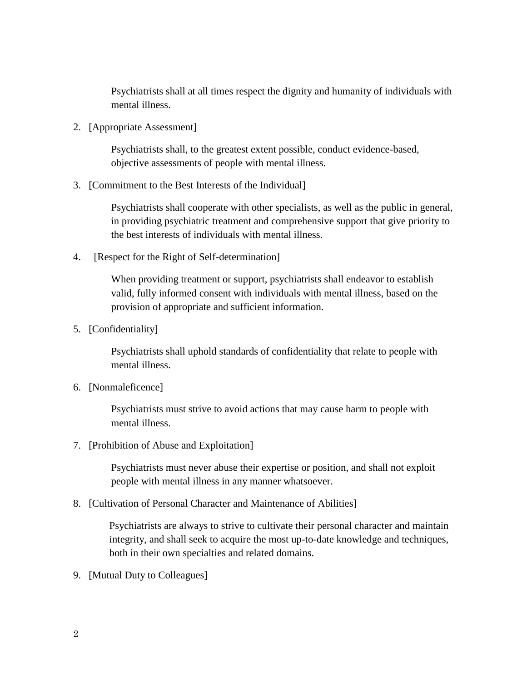Psychiatrists shall at all times respect the dignity and humanity of individuals with mental illness.

2. [Appropriate Assessment]

Psychiatrists shall, to the greatest extent possible, conduct evidence-based, objective assessments of people with mental illness.

3. [Commitment to the Best Interests of the Individual]

Psychiatrists shall cooperate with other specialists, as well as the public in general, in providing psychiatric treatment and comprehensive support that give priority to the best interests of individuals with mental illness.

4. [Respect for the Right of Self-determination]

When providing treatment or support, psychiatrists shall endeavor to establish valid, fully informed consent with individuals with mental illness, based on the provision of appropriate and sufficient information.

5. [Confidentiality]

Psychiatrists shall uphold standards of confidentiality that relate to people with mental illness.

6. [Nonmaleficence]

Psychiatrists must strive to avoid actions that may cause harm to people with mental illness.

7. [Prohibition of Abuse and Exploitation]

Psychiatrists must never abuse their expertise or position, and shall not exploit people with mental illness in any manner whatsoever.

8. [Cultivation of Personal Character and Maintenance of Abilities]

 Psychiatrists are always to strive to cultivate their personal character and maintain integrity, and shall seek to acquire the most up-to-date knowledge and techniques, both in their own specialties and related domains.

9. [Mutual Duty to Colleagues]